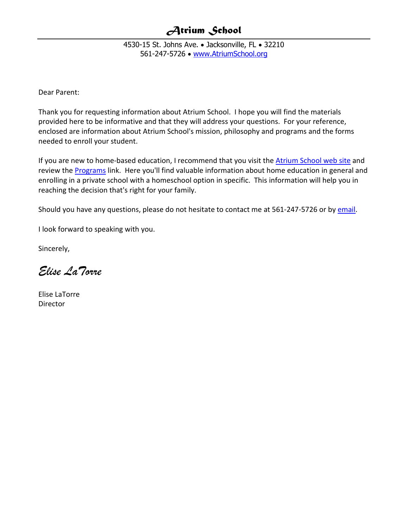4530-15 St. Johns Ave. • Jacksonville, FL • 32210 561-247-5726 • [www.AtriumSchool.org](http://www.atriumschool.org/)

Dear Parent:

Thank you for requesting information about Atrium School. I hope you will find the materials provided here to be informative and that they will address your questions. For your reference, enclosed are information about Atrium School's mission, philosophy and programs and the forms needed to enroll your student.

If you are new to home-based education, I recommend that you visit the **Atrium School web site** and review the **Programs** link. Here you'll find valuable information about home education in general and enrolling in a private school with a homeschool option in specific. This information will help you in reaching the decision that's right for your family.

Should you have any questions, please do not hesitate to contact me at 561-247-5726 or b[y email.](mailto:info@atriumschool.org)

I look forward to speaking with you.

Sincerely,

*Elise LaTorre*

Elise LaTorre **Director**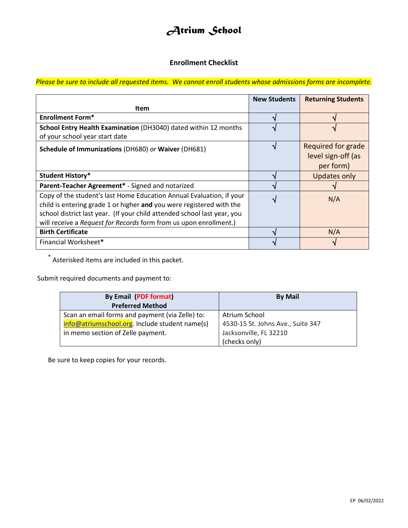### **Enrollment Checklist**

*Please be sure to include all requested items. We cannot enroll students whose admissions forms are incomplete.*

|                                                                                                                                                                                                                                                                                               | <b>New Students</b> | <b>Returning Students</b>                             |
|-----------------------------------------------------------------------------------------------------------------------------------------------------------------------------------------------------------------------------------------------------------------------------------------------|---------------------|-------------------------------------------------------|
| <b>Item</b>                                                                                                                                                                                                                                                                                   |                     |                                                       |
| <b>Enrollment Form*</b>                                                                                                                                                                                                                                                                       |                     |                                                       |
| School Entry Health Examination (DH3040) dated within 12 months<br>of your school year start date                                                                                                                                                                                             |                     |                                                       |
| Schedule of Immunizations (DH680) or Waiver (DH681)                                                                                                                                                                                                                                           |                     | Required for grade<br>level sign-off (as<br>per form) |
| <b>Student History*</b>                                                                                                                                                                                                                                                                       |                     | <b>Updates only</b>                                   |
| Parent-Teacher Agreement* - Signed and notarized                                                                                                                                                                                                                                              |                     |                                                       |
| Copy of the student's last Home Education Annual Evaluation, if your<br>child is entering grade 1 or higher and you were registered with the<br>school district last year. (If your child attended school last year, you<br>will receive a Request for Records form from us upon enrollment.) |                     | N/A                                                   |
| <b>Birth Certificate</b>                                                                                                                                                                                                                                                                      |                     | N/A                                                   |
| Financial Worksheet*                                                                                                                                                                                                                                                                          |                     |                                                       |

\* Asterisked items are included in this packet.

Submit required documents and payment to:

| <b>By Email (PDF format)</b>                    | <b>By Mail</b>                    |
|-------------------------------------------------|-----------------------------------|
| <b>Preferred Method</b>                         |                                   |
| Scan an email forms and payment (via Zelle) to: | Atrium School                     |
| info@atriumschool.org. Include student name(s)  | 4530-15 St. Johns Ave., Suite 347 |
| in memo section of Zelle payment.               | Jacksonville, FL 32210            |
|                                                 | (checks only)                     |

Be sure to keep copies for your records.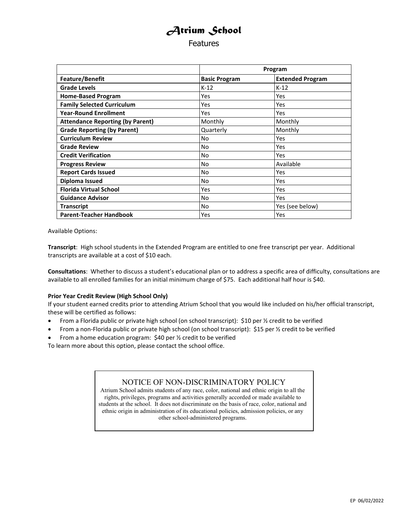**Features** 

<span id="page-2-0"></span>

|                                         | Program              |                         |
|-----------------------------------------|----------------------|-------------------------|
| <b>Feature/Benefit</b>                  | <b>Basic Program</b> | <b>Extended Program</b> |
| <b>Grade Levels</b>                     | $K-12$               | $K-12$                  |
| <b>Home-Based Program</b>               | Yes                  | Yes                     |
| <b>Family Selected Curriculum</b>       | Yes                  | Yes                     |
| <b>Year-Round Enrollment</b>            | Yes                  | Yes                     |
| <b>Attendance Reporting (by Parent)</b> | Monthly              | Monthly                 |
| <b>Grade Reporting (by Parent)</b>      | Quarterly            | Monthly                 |
| <b>Curriculum Review</b>                | No                   | <b>Yes</b>              |
| <b>Grade Review</b>                     | No                   | Yes                     |
| <b>Credit Verification</b>              | No                   | <b>Yes</b>              |
| <b>Progress Review</b>                  | <b>No</b>            | Available               |
| <b>Report Cards Issued</b>              | No                   | Yes                     |
| Diploma Issued                          | No                   | Yes                     |
| <b>Florida Virtual School</b>           | Yes                  | Yes                     |
| <b>Guidance Advisor</b>                 | No                   | Yes                     |
| <b>Transcript</b>                       | No                   | Yes (see below)         |
| <b>Parent-Teacher Handbook</b>          | Yes                  | Yes                     |

Available Options:

**Transcript**: High school students in the Extended Program are entitled to one free transcript per year. Additional transcripts are available at a cost of \$10 each.

**Consultations**: Whether to discuss a student's educational plan or to address a specific area of difficulty, consultations are available to all enrolled families for an initial minimum charge of \$75. Each additional half hour is \$40.

#### **Prior Year Credit Review (High School Only)**

If your student earned credits prior to attending Atrium School that you would like included on his/her official transcript, these will be certified as follows:

- From a Florida public or private high school (on school transcript): \$10 per 1/2 credit to be verified
- From a non-Florida public or private high school (on school transcript): \$15 per 1/2 credit to be verified

• From a home education program: \$40 per ½ credit to be verified

To learn more about this option, please contact the school office.

### NOTICE OF NON-DISCRIMINATORY POLICY

Atrium School admits students of any race, color, national and ethnic origin to all the rights, privileges, programs and activities generally accorded or made available to students at the school. It does not discriminate on the basis of race, color, national and ethnic origin in administration of its educational policies, admission policies, or any other school-administered programs.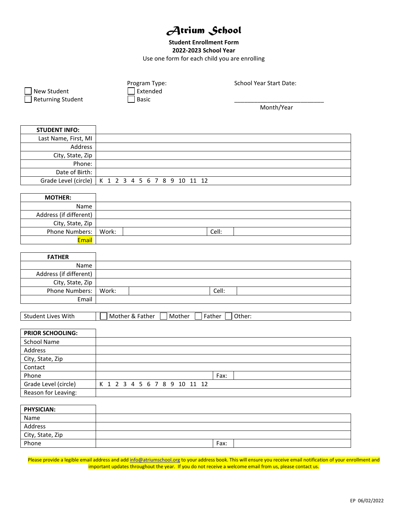#### **Student Enrollment Form 2022-2023 School Year** Use one form for each child you are enrolling

| New Student<br><b>Returning Student</b> | <b>School Year Start Date:</b><br>Program Type:<br>Extended<br><b>Basic</b> |  |
|-----------------------------------------|-----------------------------------------------------------------------------|--|
|                                         | Month/Year                                                                  |  |
| <b>STUDENT INFO:</b>                    |                                                                             |  |
| Last Name, First, MI                    |                                                                             |  |
| Address                                 |                                                                             |  |
| City, State, Zip                        |                                                                             |  |
| Phone:                                  |                                                                             |  |
| Date of Birth:                          |                                                                             |  |
| Grade Level (circle)                    | K 1 2 3 4 5 6 7 8 9 10 11 12                                                |  |
|                                         |                                                                             |  |
| <b>MOTHER:</b>                          |                                                                             |  |
| Name                                    |                                                                             |  |
| Address (if different)                  |                                                                             |  |
| City, State, Zip                        |                                                                             |  |
| Phone Numbers:                          | Work:<br>Cell:                                                              |  |
| Email                                   |                                                                             |  |
|                                         |                                                                             |  |
| <b>FATHER</b>                           |                                                                             |  |
| Name                                    |                                                                             |  |
| Address (if different)                  |                                                                             |  |
| City, State, Zip                        |                                                                             |  |
| Phone Numbers:                          | Work:<br>Cell:                                                              |  |
| Email                                   |                                                                             |  |
|                                         |                                                                             |  |
| Student Lives With                      | Mother & Father<br>Mother<br>Father<br>Other:                               |  |
|                                         |                                                                             |  |
| PRIOR SCHOOLING:                        |                                                                             |  |
| <b>School Name</b>                      |                                                                             |  |
| Address                                 |                                                                             |  |
| .                                       |                                                                             |  |

| City, State, Zip     |                              |
|----------------------|------------------------------|
| Contact              |                              |
| Phone                | Fax:                         |
| Grade Level (circle) | K 1 2 3 4 5 6 7 8 9 10 11 12 |
| Reason for Leaving:  |                              |

| <b>PHYSICIAN:</b> |      |
|-------------------|------|
| Name              |      |
| Address           |      |
| City, State, Zip  |      |
| Phone             | Fax: |

Please provide a legible email address and ad[d info@atriumschool.org](mailto:info@atriumschool.org) to your address book. This will ensure you receive email notification of your enrollment and important updates throughout the year. If you do not receive a welcome email from us, please contact us.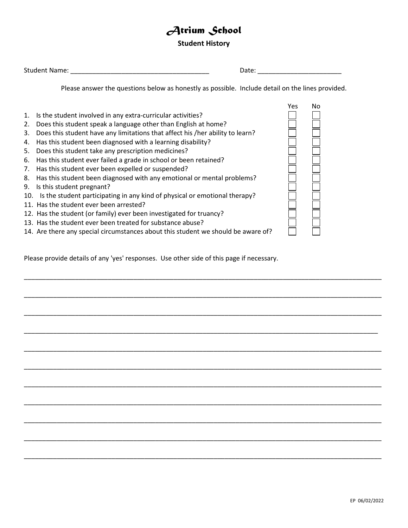#### **Student History**

| Student | Jate.     |
|---------|-----------|
| : Name: | - - - - - |

Please answer the questions below as honestly as possible. Include detail on the lines provided.

\_\_\_\_\_\_\_\_\_\_\_\_\_\_\_\_\_\_\_\_\_\_\_\_\_\_\_\_\_\_\_\_\_\_\_\_\_\_\_\_\_\_\_\_\_\_\_\_\_\_\_\_\_\_\_\_\_\_\_\_\_\_\_\_\_\_\_\_\_\_\_\_\_\_\_\_\_\_\_\_\_\_\_\_\_\_\_\_\_\_\_\_\_\_\_\_\_\_

\_\_\_\_\_\_\_\_\_\_\_\_\_\_\_\_\_\_\_\_\_\_\_\_\_\_\_\_\_\_\_\_\_\_\_\_\_\_\_\_\_\_\_\_\_\_\_\_\_\_\_\_\_\_\_\_\_\_\_\_\_\_\_\_\_\_\_\_\_\_\_\_\_\_\_\_\_\_\_\_\_\_\_\_\_\_\_\_\_\_\_\_\_\_\_\_\_\_

\_\_\_\_\_\_\_\_\_\_\_\_\_\_\_\_\_\_\_\_\_\_\_\_\_\_\_\_\_\_\_\_\_\_\_\_\_\_\_\_\_\_\_\_\_\_\_\_\_\_\_\_\_\_\_\_\_\_\_\_\_\_\_\_\_\_\_\_\_\_\_\_\_\_\_\_\_\_\_\_\_\_\_\_\_\_\_\_\_\_\_\_\_\_\_\_\_\_

\_\_\_\_\_\_\_\_\_\_\_\_\_\_\_\_\_\_\_\_\_\_\_\_\_\_\_\_\_\_\_\_\_\_\_\_\_\_\_\_\_\_\_\_\_\_\_\_\_\_\_\_\_\_\_\_\_\_\_\_\_\_\_\_\_\_\_\_\_\_\_\_\_\_\_\_\_\_\_\_\_\_\_\_\_\_\_\_\_\_\_\_\_\_\_\_\_

\_\_\_\_\_\_\_\_\_\_\_\_\_\_\_\_\_\_\_\_\_\_\_\_\_\_\_\_\_\_\_\_\_\_\_\_\_\_\_\_\_\_\_\_\_\_\_\_\_\_\_\_\_\_\_\_\_\_\_\_\_\_\_\_\_\_\_\_\_\_\_\_\_\_\_\_\_\_\_\_\_\_\_\_\_\_\_\_\_\_\_\_\_\_\_\_\_\_

\_\_\_\_\_\_\_\_\_\_\_\_\_\_\_\_\_\_\_\_\_\_\_\_\_\_\_\_\_\_\_\_\_\_\_\_\_\_\_\_\_\_\_\_\_\_\_\_\_\_\_\_\_\_\_\_\_\_\_\_\_\_\_\_\_\_\_\_\_\_\_\_\_\_\_\_\_\_\_\_\_\_\_\_\_\_\_\_\_\_\_\_\_\_\_\_\_\_

\_\_\_\_\_\_\_\_\_\_\_\_\_\_\_\_\_\_\_\_\_\_\_\_\_\_\_\_\_\_\_\_\_\_\_\_\_\_\_\_\_\_\_\_\_\_\_\_\_\_\_\_\_\_\_\_\_\_\_\_\_\_\_\_\_\_\_\_\_\_\_\_\_\_\_\_\_\_\_\_\_\_\_\_\_\_\_\_\_\_\_\_\_\_\_\_\_\_

\_\_\_\_\_\_\_\_\_\_\_\_\_\_\_\_\_\_\_\_\_\_\_\_\_\_\_\_\_\_\_\_\_\_\_\_\_\_\_\_\_\_\_\_\_\_\_\_\_\_\_\_\_\_\_\_\_\_\_\_\_\_\_\_\_\_\_\_\_\_\_\_\_\_\_\_\_\_\_\_\_\_\_\_\_\_\_\_\_\_\_\_\_\_\_\_\_\_

\_\_\_\_\_\_\_\_\_\_\_\_\_\_\_\_\_\_\_\_\_\_\_\_\_\_\_\_\_\_\_\_\_\_\_\_\_\_\_\_\_\_\_\_\_\_\_\_\_\_\_\_\_\_\_\_\_\_\_\_\_\_\_\_\_\_\_\_\_\_\_\_\_\_\_\_\_\_\_\_\_\_\_\_\_\_\_\_\_\_\_\_\_\_\_\_\_\_

\_\_\_\_\_\_\_\_\_\_\_\_\_\_\_\_\_\_\_\_\_\_\_\_\_\_\_\_\_\_\_\_\_\_\_\_\_\_\_\_\_\_\_\_\_\_\_\_\_\_\_\_\_\_\_\_\_\_\_\_\_\_\_\_\_\_\_\_\_\_\_\_\_\_\_\_\_\_\_\_\_\_\_\_\_\_\_\_\_\_\_\_\_\_\_\_\_\_

\_\_\_\_\_\_\_\_\_\_\_\_\_\_\_\_\_\_\_\_\_\_\_\_\_\_\_\_\_\_\_\_\_\_\_\_\_\_\_\_\_\_\_\_\_\_\_\_\_\_\_\_\_\_\_\_\_\_\_\_\_\_\_\_\_\_\_\_\_\_\_\_\_\_\_\_\_\_\_\_\_\_\_\_\_\_\_\_\_\_\_\_\_\_\_\_\_\_



Please provide details of any 'yes' responses. Use other side of this page if necessary.

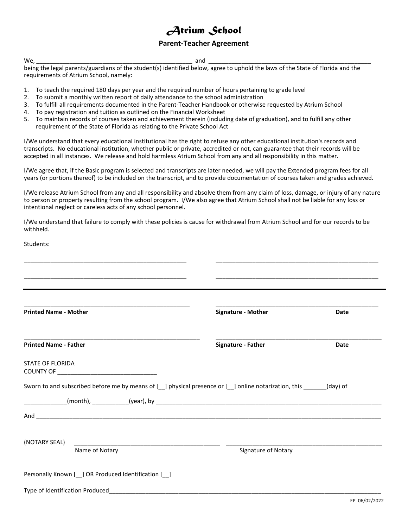#### **Parent-Teacher Agreement**

We, \_\_\_\_\_\_\_\_\_\_\_\_\_\_\_\_\_\_\_\_\_\_\_\_\_\_\_\_\_\_\_\_\_\_\_\_\_\_\_\_\_\_\_\_\_\_\_ and \_\_\_\_\_\_\_\_\_\_\_\_\_\_\_\_\_\_\_\_\_\_\_\_\_\_\_\_\_\_\_\_\_\_\_\_\_\_\_\_\_\_\_\_\_\_\_\_\_

being the legal parents/guardians of the student(s) identified below, agree to uphold the laws of the State of Florida and the requirements of Atrium School, namely:

- 1. To teach the required 180 days per year and the required number of hours pertaining to grade level
- 2. To submit a monthly written report of daily attendance to the school administration
- 3. To fulfill all requirements documented in the Parent-Teacher Handbook or otherwise requested by Atrium School
- 4. To pay registration and tuition as outlined on the Financial Worksheet
- 5. To maintain records of courses taken and achievement therein (including date of graduation), and to fulfill any other requirement of the State of Florida as relating to the Private School Act

I/We understand that every educational institutional has the right to refuse any other educational institution's records and transcripts. No educational institution, whether public or private, accredited or not, can guarantee that their records will be accepted in all instances. We release and hold harmless Atrium School from any and all responsibility in this matter.

I/We agree that, if the Basic program is selected and transcripts are later needed, we will pay the Extended program fees for all years (or portions thereof) to be included on the transcript, and to provide documentation of courses taken and grades achieved.

I/We release Atrium School from any and all responsibility and absolve them from any claim of loss, damage, or injury of any nature to person or property resulting from the school program. I/We also agree that Atrium School shall not be liable for any loss or intentional neglect or careless acts of any school personnel.

I/We understand that failure to comply with these policies is cause for withdrawal from Atrium School and for our records to be withheld.

| Students:                                                                                                                             |                                                                                                                      |             |
|---------------------------------------------------------------------------------------------------------------------------------------|----------------------------------------------------------------------------------------------------------------------|-------------|
|                                                                                                                                       |                                                                                                                      |             |
| <u> 1980 - Johann Harry Harry Harry Harry Harry Harry Harry Harry Harry Harry Harry Harry Harry Harry Harry Harry</u>                 | <u> 1989 - Jan James James James James James James James James James James James James James James James James J</u> |             |
|                                                                                                                                       |                                                                                                                      |             |
| <b>Printed Name - Mother</b>                                                                                                          | Signature - Mother                                                                                                   | <b>Date</b> |
| <b>Printed Name - Father</b>                                                                                                          | Signature - Father                                                                                                   | Date        |
| <b>STATE OF FLORIDA</b>                                                                                                               |                                                                                                                      |             |
|                                                                                                                                       |                                                                                                                      |             |
|                                                                                                                                       |                                                                                                                      |             |
| And <b>And And And And And And And And And And A</b>                                                                                  |                                                                                                                      |             |
|                                                                                                                                       |                                                                                                                      |             |
| (NOTARY SEAL)<br><u> 1980 - Jan Barbara, manazarta bashi da ya kuma a shekara 1980 a shekara 1980 a shekara 1980 a shekara 1980 a</u> |                                                                                                                      |             |
| Name of Notary                                                                                                                        | Signature of Notary                                                                                                  |             |
| Personally Known [ ] OR Produced Identification [ ]                                                                                   |                                                                                                                      |             |
| Type of Identification Produced <b>Container and Container and Container and Container and Container and Container</b>                |                                                                                                                      |             |